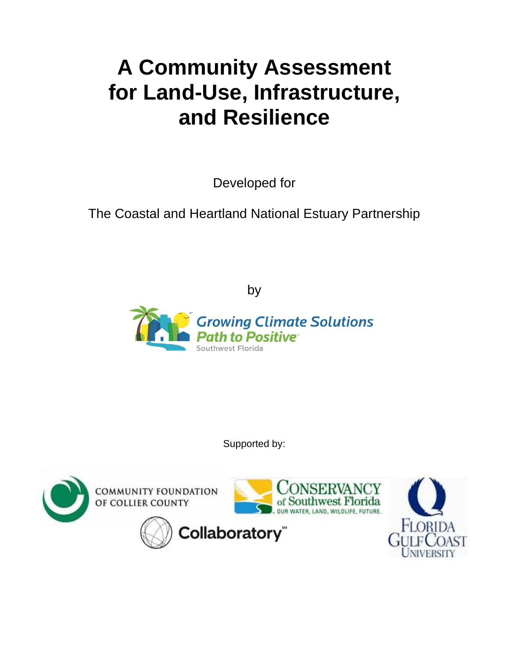# **A Community Assessment for Land-Use, Infrastructure, and Resilience**

Developed for

The Coastal and Heartland National Estuary Partnership

by



Supported by:

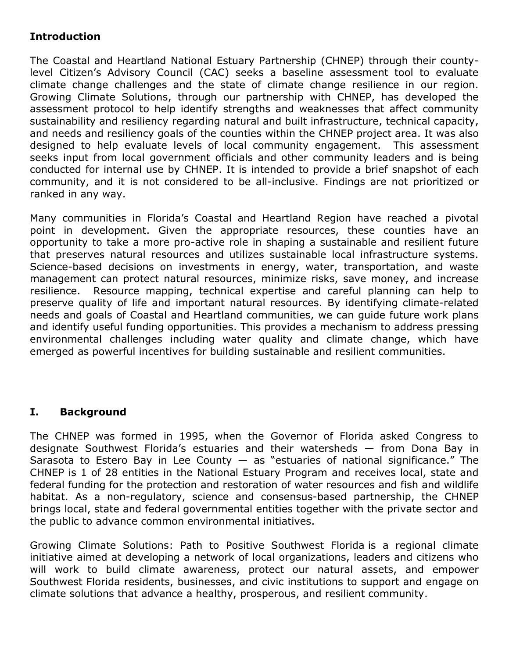# **Introduction**

The Coastal and Heartland National Estuary Partnership (CHNEP) through their countylevel Citizen's Advisory Council (CAC) seeks a baseline assessment tool to evaluate climate change challenges and the state of climate change resilience in our region. Growing Climate Solutions, through our partnership with CHNEP, has developed the assessment protocol to help identify strengths and weaknesses that affect community sustainability and resiliency regarding natural and built infrastructure, technical capacity, and needs and resiliency goals of the counties within the CHNEP project area. It was also designed to help evaluate levels of local community engagement. This assessment seeks input from local government officials and other community leaders and is being conducted for internal use by CHNEP. It is intended to provide a brief snapshot of each community, and it is not considered to be all-inclusive. Findings are not prioritized or ranked in any way.

Many communities in Florida's Coastal and Heartland Region have reached a pivotal point in development. Given the appropriate resources, these counties have an opportunity to take a more pro-active role in shaping a sustainable and resilient future that preserves natural resources and utilizes sustainable local infrastructure systems. Science-based decisions on investments in energy, water, transportation, and waste management can protect natural resources, minimize risks, save money, and increase resilience. Resource mapping, technical expertise and careful planning can help to preserve quality of life and important natural resources. By identifying climate-related needs and goals of Coastal and Heartland communities, we can guide future work plans and identify useful funding opportunities. This provides a mechanism to address pressing environmental challenges including water quality and climate change, which have emerged as powerful incentives for building sustainable and resilient communities.

# **I. Background**

The CHNEP was formed in 1995, when the Governor of Florida asked Congress to designate Southwest Florida's estuaries and their watersheds — from Dona Bay in Sarasota to Estero Bay in Lee County  $-$  as "estuaries of national significance." The CHNEP is 1 of 28 entities in the National Estuary Program and receives local, state and federal funding for the protection and restoration of water resources and fish and wildlife habitat. As a non-regulatory, science and consensus-based partnership, the CHNEP brings local, state and federal governmental entities together with the private sector and the public to advance common environmental initiatives.

Growing Climate Solutions: Path to Positive Southwest Florida is a regional climate initiative aimed at developing a network of local organizations, leaders and citizens who will work to build climate awareness, protect our natural assets, and empower Southwest Florida residents, businesses, and civic institutions to support and engage on climate solutions that advance a healthy, prosperous, and resilient community.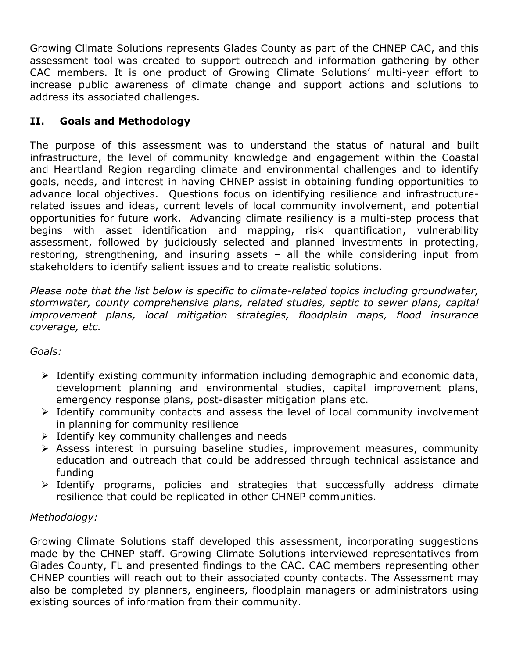Growing Climate Solutions represents Glades County as part of the CHNEP CAC, and this assessment tool was created to support outreach and information gathering by other CAC members. It is one product of Growing Climate Solutions' multi-year effort to increase public awareness of climate change and support actions and solutions to address its associated challenges.

# **II. Goals and Methodology**

The purpose of this assessment was to understand the status of natural and built infrastructure, the level of community knowledge and engagement within the Coastal and Heartland Region regarding climate and environmental challenges and to identify goals, needs, and interest in having CHNEP assist in obtaining funding opportunities to advance local objectives. Questions focus on identifying resilience and infrastructurerelated issues and ideas, current levels of local community involvement, and potential opportunities for future work. Advancing climate resiliency is a multi-step process that begins with asset identification and mapping, risk quantification, vulnerability assessment, followed by judiciously selected and planned investments in protecting, restoring, strengthening, and insuring assets – all the while considering input from stakeholders to identify salient issues and to create realistic solutions.

*Please note that the list below is specific to climate-related topics including groundwater, stormwater, county comprehensive plans, related studies, septic to sewer plans, capital improvement plans, local mitigation strategies, floodplain maps, flood insurance coverage, etc.*

# *Goals:*

- ➢ Identify existing community information including demographic and economic data, development planning and environmental studies, capital improvement plans, emergency response plans, post-disaster mitigation plans etc.
- ➢ Identify community contacts and assess the level of local community involvement in planning for community resilience
- $\triangleright$  Identify key community challenges and needs
- ➢ Assess interest in pursuing baseline studies, improvement measures, community education and outreach that could be addressed through technical assistance and funding
- ➢ Identify programs, policies and strategies that successfully address climate resilience that could be replicated in other CHNEP communities.

# *Methodology:*

Growing Climate Solutions staff developed this assessment, incorporating suggestions made by the CHNEP staff. Growing Climate Solutions interviewed representatives from Glades County, FL and presented findings to the CAC. CAC members representing other CHNEP counties will reach out to their associated county contacts. The Assessment may also be completed by planners, engineers, floodplain managers or administrators using existing sources of information from their community.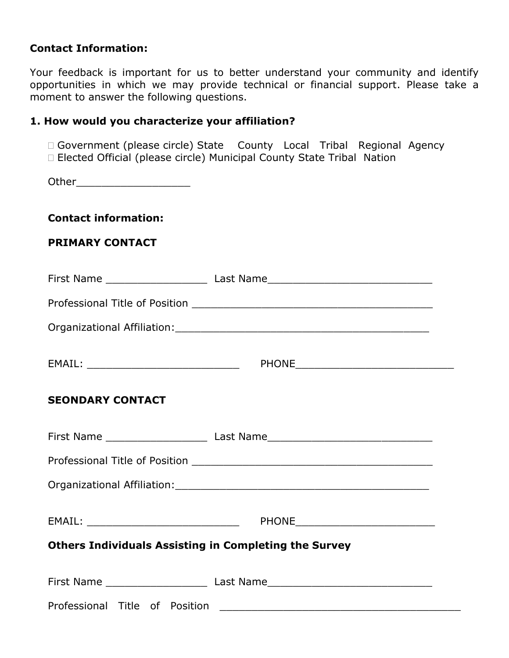#### **Contact Information:**

Your feedback is important for us to better understand your community and identify opportunities in which we may provide technical or financial support. Please take a moment to answer the following questions.

# **1. How would you characterize your affiliation?**

 Government (please circle) State County Local Tribal Regional Agency Elected Official (please circle) Municipal County State Tribal Nation

Other\_\_\_\_\_\_\_\_\_\_\_\_\_\_\_\_\_\_

#### **Contact information:**

#### **PRIMARY CONTACT**

|                                                              | First Name _________________________________Last Name___________________________  |  |
|--------------------------------------------------------------|-----------------------------------------------------------------------------------|--|
|                                                              |                                                                                   |  |
|                                                              |                                                                                   |  |
|                                                              |                                                                                   |  |
| <b>SEONDARY CONTACT</b>                                      |                                                                                   |  |
|                                                              | First Name _______________________________Last Name_____________________________  |  |
|                                                              |                                                                                   |  |
|                                                              |                                                                                   |  |
|                                                              |                                                                                   |  |
| <b>Others Individuals Assisting in Completing the Survey</b> |                                                                                   |  |
|                                                              | First Name __________________________________Last Name___________________________ |  |
|                                                              |                                                                                   |  |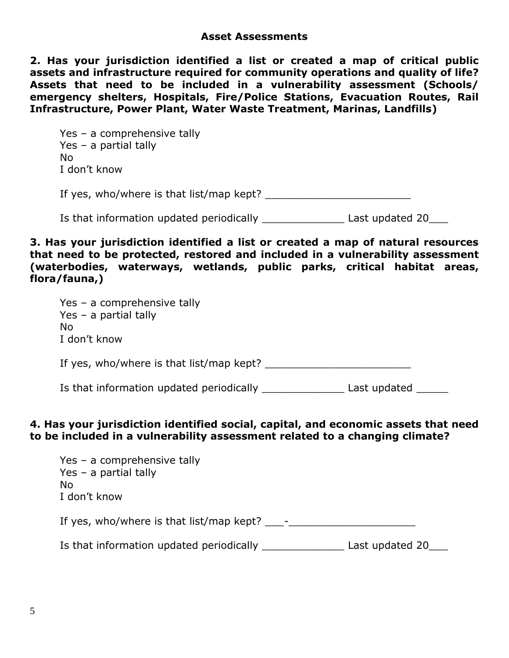**2. Has your jurisdiction identified a list or created a map of critical public assets and infrastructure required for community operations and quality of life? Assets that need to be included in a vulnerability assessment (Schools/ emergency shelters, Hospitals, Fire/Police Stations, Evacuation Routes, Rail Infrastructure, Power Plant, Water Waste Treatment, Marinas, Landfills)**

Yes – a comprehensive tally Yes – a partial tally No I don't know If yes, who/where is that list/map kept? Is that information updated periodically \_\_\_\_\_\_\_\_\_\_\_\_\_\_\_\_\_\_\_ Last updated 20

**3. Has your jurisdiction identified a list or created a map of natural resources that need to be protected, restored and included in a vulnerability assessment (waterbodies, waterways, wetlands, public parks, critical habitat areas, flora/fauna,)**

Yes – a comprehensive tally Yes – a partial tally No I don't know If yes, who/where is that list/map kept? Is that information updated periodically \_\_\_\_\_\_\_\_\_\_\_\_\_\_\_\_ Last updated \_\_\_\_\_\_\_

# **4. Has your jurisdiction identified social, capital, and economic assets that need to be included in a vulnerability assessment related to a changing climate?**

| Yes - a comprehensive tally<br>Yes – a partial tally<br>No<br>I don't know |                 |
|----------------------------------------------------------------------------|-----------------|
| If yes, who/where is that $list / map$ kept? $-$                           |                 |
| Is that information updated periodically                                   | Last updated 20 |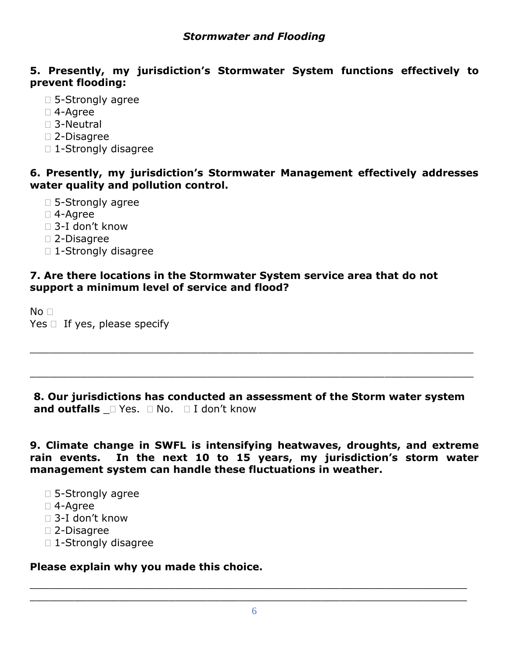# **5. Presently, my jurisdiction's Stormwater System functions effectively to prevent flooding:**

- □ 5-Strongly agree
- 4-Agree
- □ 3-Neutral
- 2-Disagree
- □ 1-Strongly disagree

# **6. Presently, my jurisdiction's Stormwater Management effectively addresses water quality and pollution control.**

- □ 5-Strongly agree
- 4-Agree
- 3-I don't know
- 2-Disagree
- □ 1-Strongly disagree

# **7. Are there locations in the Stormwater System service area that do not support a minimum level of service and flood?**

 $No<sub>1</sub>$ Yes  $\Box$  If yes, please specify

**8. Our jurisdictions has conducted an assessment of the Storm water system and outfalls**  $\Box$  Yes.  $\Box$  No.  $\Box$  I don't know

\_\_\_\_\_\_\_\_\_\_\_\_\_\_\_\_\_\_\_\_\_\_\_\_\_\_\_\_\_\_\_\_\_\_\_\_\_\_\_\_\_\_\_\_\_\_\_\_\_\_\_\_\_\_\_\_\_\_\_\_\_\_\_\_\_\_\_\_\_\_

\_\_\_\_\_\_\_\_\_\_\_\_\_\_\_\_\_\_\_\_\_\_\_\_\_\_\_\_\_\_\_\_\_\_\_\_\_\_\_\_\_\_\_\_\_\_\_\_\_\_\_\_\_\_\_\_\_\_\_\_\_\_\_\_\_\_\_\_\_\_

**9. Climate change in SWFL is intensifying heatwaves, droughts, and extreme rain events. In the next 10 to 15 years, my jurisdiction's storm water management system can handle these fluctuations in weather.**

- □ 5-Strongly agree
- 4-Agree
- 3-I don't know
- 2-Disagree
- □ 1-Strongly disagree

# **Please explain why you made this choice.**

\_\_\_\_\_\_\_\_\_\_\_\_\_\_\_\_\_\_\_\_\_\_\_\_\_\_\_\_\_\_\_\_\_\_\_\_\_\_\_\_\_\_\_\_\_\_\_\_\_\_\_\_\_\_\_\_\_\_\_\_\_\_\_\_\_\_\_\_\_ \_\_\_\_\_\_\_\_\_\_\_\_\_\_\_\_\_\_\_\_\_\_\_\_\_\_\_\_\_\_\_\_\_\_\_\_\_\_\_\_\_\_\_\_\_\_\_\_\_\_\_\_\_\_\_\_\_\_\_\_\_\_\_\_\_\_\_\_\_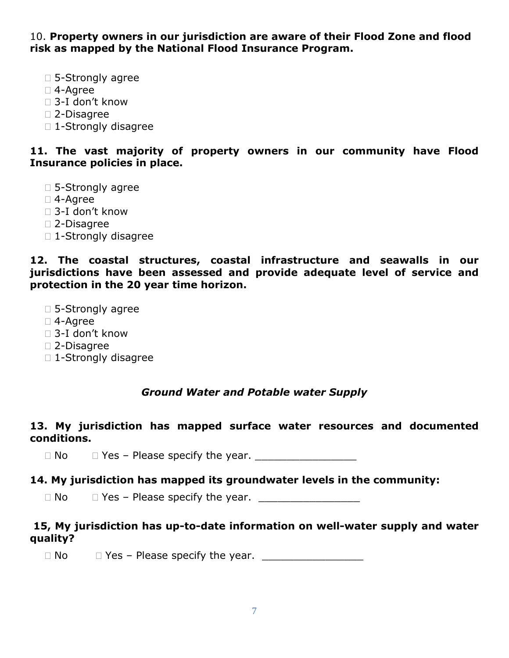10. **Property owners in our jurisdiction are aware of their Flood Zone and flood risk as mapped by the National Flood Insurance Program.**

- □ 5-Strongly agree
- 4-Agree
- □ 3-I don't know
- 2-Disagree
- □ 1-Strongly disagree

#### **11. The vast majority of property owners in our community have Flood Insurance policies in place.**

- □ 5-Strongly agree
- 4-Agree
- 3-I don't know
- 2-Disagree
- □ 1-Strongly disagree

**12. The coastal structures, coastal infrastructure and seawalls in our jurisdictions have been assessed and provide adequate level of service and protection in the 20 year time horizon.**

- □ 5-Strongly agree
- 4-Agree
- □ 3-I don't know
- 2-Disagree
- □ 1-Strongly disagree

# *Ground Water and Potable water Supply*

# **13. My jurisdiction has mapped surface water resources and documented conditions.**

No Yes – Please specify the year. \_\_\_\_\_\_\_\_\_\_\_\_\_\_\_\_

# **14. My jurisdiction has mapped its groundwater levels in the community:**

 $\Box$  No  $\Box$  Yes – Please specify the year.

# **15, My jurisdiction has up-to-date information on well-water supply and water quality?**

No Yes – Please specify the year. \_\_\_\_\_\_\_\_\_\_\_\_\_\_\_\_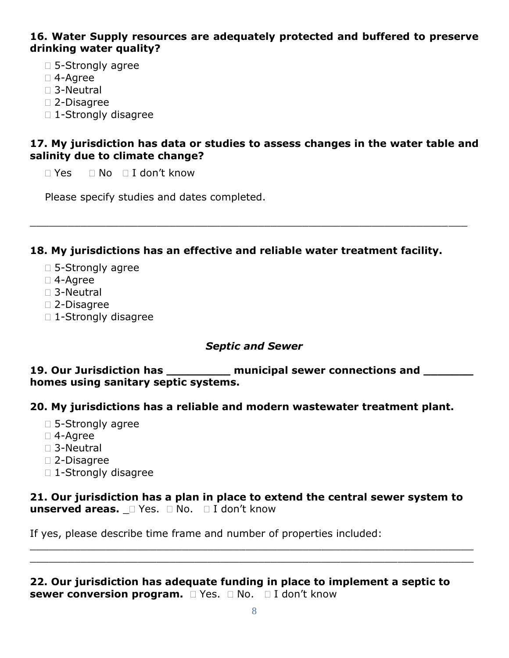#### **16. Water Supply resources are adequately protected and buffered to preserve drinking water quality?**

- □ 5-Strongly agree
- 4-Agree
- 3-Neutral
- 2-Disagree
- □ 1-Strongly disagree

#### **17. My jurisdiction has data or studies to assess changes in the water table and salinity due to climate change?**

 $\Box$  Yes  $\Box$  No  $\Box$  I don't know

Please specify studies and dates completed.

#### **18. My jurisdictions has an effective and reliable water treatment facility.**

\_\_\_\_\_\_\_\_\_\_\_\_\_\_\_\_\_\_\_\_\_\_\_\_\_\_\_\_\_\_\_\_\_\_\_\_\_\_\_\_\_\_\_\_\_\_\_\_\_\_\_\_\_\_\_\_\_\_\_\_\_\_\_\_\_\_\_\_\_

- □ 5-Strongly agree
- 4-Agree
- □ 3-Neutral
- 2-Disagree
- □ 1-Strongly disagree

#### *Septic and Sewer*

**19. Our Jurisdiction has \_\_\_\_\_\_\_\_\_ municipal sewer connections and \_\_\_\_\_\_\_ homes using sanitary septic systems.**

# **20. My jurisdictions has a reliable and modern wastewater treatment plant.**

- □ 5-Strongly agree
- 4-Agree
- □ 3-Neutral
- 2-Disagree
- □ 1-Strongly disagree

# **21. Our jurisdiction has a plan in place to extend the central sewer system to**  unserved areas.  $\Box$  Yes.  $\Box$  No.  $\Box$  I don't know

 $\_$ \_\_\_\_\_\_\_\_\_\_\_\_\_\_\_\_\_\_\_\_\_\_\_\_\_\_\_\_\_\_\_\_\_\_\_\_\_\_\_\_\_\_\_\_\_\_\_\_\_\_\_\_\_\_\_\_\_\_\_\_\_\_\_\_\_\_\_\_\_\_

If yes, please describe time frame and number of properties included:

**22. Our jurisdiction has adequate funding in place to implement a septic to sewer conversion program.**  $\Box$  Yes.  $\Box$  No.  $\Box$  I don't know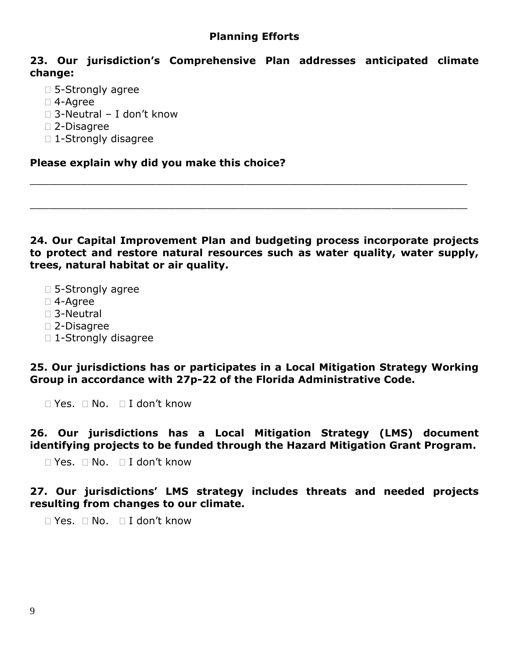#### **Planning Efforts**

#### **23. Our jurisdiction's Comprehensive Plan addresses anticipated climate change:**

- □ 5-Strongly agree
- 4-Agree
- □ 3-Neutral I don't know
- 2-Disagree
- □ 1-Strongly disagree

**Please explain why did you make this choice?**

**24. Our Capital Improvement Plan and budgeting process incorporate projects to protect and restore natural resources such as water quality, water supply, trees, natural habitat or air quality.**

\_\_\_\_\_\_\_\_\_\_\_\_\_\_\_\_\_\_\_\_\_\_\_\_\_\_\_\_\_\_\_\_\_\_\_\_\_\_\_\_\_\_\_\_\_\_\_\_\_\_\_\_\_\_\_\_\_\_\_\_\_\_\_\_\_\_\_\_\_

\_\_\_\_\_\_\_\_\_\_\_\_\_\_\_\_\_\_\_\_\_\_\_\_\_\_\_\_\_\_\_\_\_\_\_\_\_\_\_\_\_\_\_\_\_\_\_\_\_\_\_\_\_\_\_\_\_\_\_\_\_\_\_\_\_\_\_\_\_

- □ 5-Strongly agree
- 4-Agree
- 3-Neutral
- 2-Disagree
- □ 1-Strongly disagree

**25. Our jurisdictions has or participates in a Local Mitigation Strategy Working Group in accordance with 27p-22 of the Florida Administrative Code.** 

 $\Box$  Yes.  $\Box$  No.  $\Box$  I don't know

**26. Our jurisdictions has a Local Mitigation Strategy (LMS) document identifying projects to be funded through the Hazard Mitigation Grant Program.**

 $\Box$  Yes.  $\Box$  No.  $\Box$  I don't know

**27. Our jurisdictions' LMS strategy includes threats and needed projects resulting from changes to our climate.**

 $\Box$  Yes.  $\Box$  No.  $\Box$  I don't know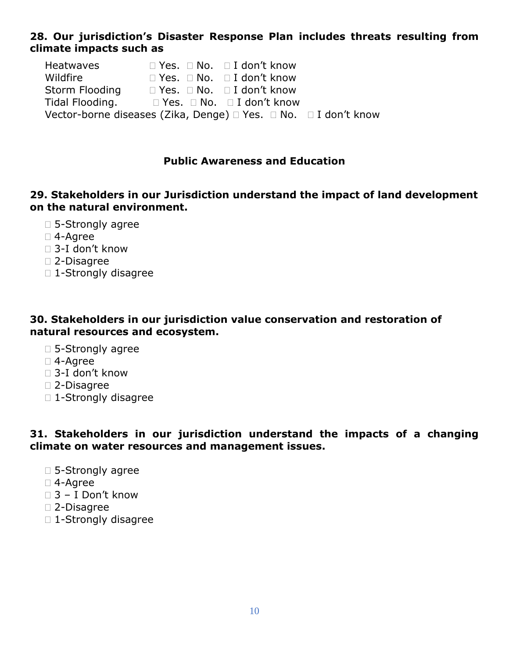# **28. Our jurisdiction's Disaster Response Plan includes threats resulting from climate impacts such as**

Heatwaves 
<br>  $\Box$  Yes.  $\Box$  No.  $\Box$  I don't know Wildfire  $\square$  Yes.  $\square$  No.  $\square$  I don't know Storm Flooding  $\square$  Yes.  $\square$  No.  $\square$  I don't know Tidal Flooding. □ Yes. □ No. □ I don't know Vector-borne diseases (Zika, Denge)  $\Box$  Yes.  $\Box$  No.  $\Box$  I don't know

#### **Public Awareness and Education**

# **29. Stakeholders in our Jurisdiction understand the impact of land development on the natural environment.**

- □ 5-Strongly agree
- 4-Agree
- 3-I don't know
- 2-Disagree
- □ 1-Strongly disagree

#### **30. Stakeholders in our jurisdiction value conservation and restoration of natural resources and ecosystem.**

- □ 5-Strongly agree
- 4-Agree
- □ 3-I don't know
- 2-Disagree
- □ 1-Strongly disagree

#### **31. Stakeholders in our jurisdiction understand the impacts of a changing climate on water resources and management issues.**

- □ 5-Strongly agree
- 4-Agree
- $\Box$  3 I Don't know
- 2-Disagree
- □ 1-Strongly disagree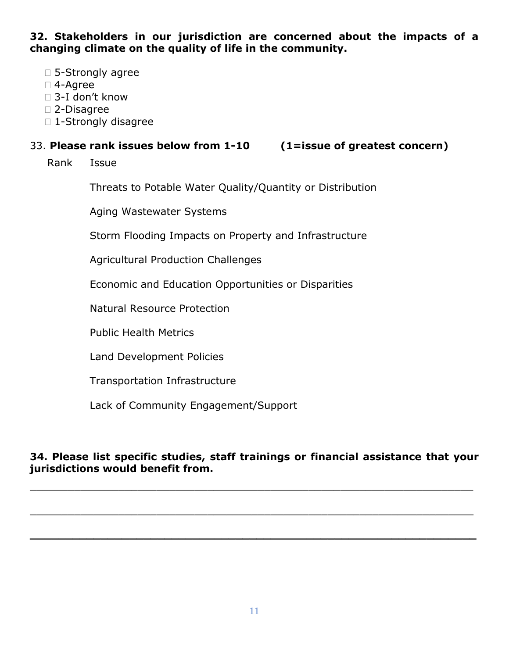**32. Stakeholders in our jurisdiction are concerned about the impacts of a changing climate on the quality of life in the community.**

- □ 5-Strongly agree
- 4-Agree
- 3-I don't know
- 2-Disagree
- □ 1-Strongly disagree

#### 33. **Please rank issues below from 1-10 (1=issue of greatest concern)**

Rank Issue

Threats to Potable Water Quality/Quantity or Distribution

Aging Wastewater Systems

Storm Flooding Impacts on Property and Infrastructure

Agricultural Production Challenges

Economic and Education Opportunities or Disparities

Natural Resource Protection

Public Health Metrics

Land Development Policies

Transportation Infrastructure

Lack of Community Engagement/Support

#### **34. Please list specific studies, staff trainings or financial assistance that your jurisdictions would benefit from.**

\_\_\_\_\_\_\_\_\_\_\_\_\_\_\_\_\_\_\_\_\_\_\_\_\_\_\_\_\_\_\_\_\_\_\_\_\_\_\_\_\_\_\_\_\_\_\_\_\_\_\_\_\_\_\_\_\_\_\_\_\_\_\_\_\_\_\_\_\_\_

\_\_\_\_\_\_\_\_\_\_\_\_\_\_\_\_\_\_\_\_\_\_\_\_\_\_\_\_\_\_\_\_\_\_\_\_\_\_\_\_\_\_\_\_\_\_\_\_\_\_\_\_\_\_\_\_\_\_\_\_\_\_\_\_\_\_\_\_\_\_

**\_\_\_\_\_\_\_\_\_\_\_\_\_\_\_\_\_\_\_\_\_\_\_\_\_\_\_\_\_\_\_\_\_\_\_\_\_\_\_\_\_\_\_\_\_\_\_\_\_\_\_\_\_\_\_\_\_\_\_\_\_\_\_**